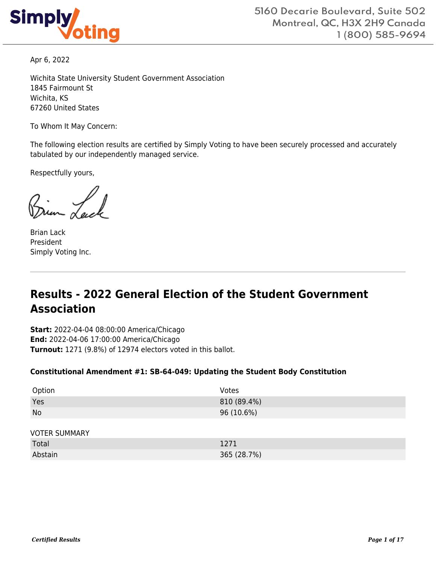

Apr 6, 2022

Wichita State University Student Government Association 1845 Fairmount St Wichita, KS 67260 United States

To Whom It May Concern:

The following election results are certified by Simply Voting to have been securely processed and accurately tabulated by our independently managed service.

Respectfully yours,

Brian Lack President Simply Voting Inc.

# **Results - 2022 General Election of the Student Government Association**

**Start:** 2022-04-04 08:00:00 America/Chicago **End:** 2022-04-06 17:00:00 America/Chicago **Turnout:** 1271 (9.8%) of 12974 electors voted in this ballot.

#### **Constitutional Amendment #1: SB-64-049: Updating the Student Body Constitution**

| Option               | Votes       |
|----------------------|-------------|
| Yes                  | 810 (89.4%) |
| <b>No</b>            | 96 (10.6%)  |
|                      |             |
| <b>VOTER SUMMARY</b> |             |
| Total                | 1271        |
| Abstain              | 365 (28.7%) |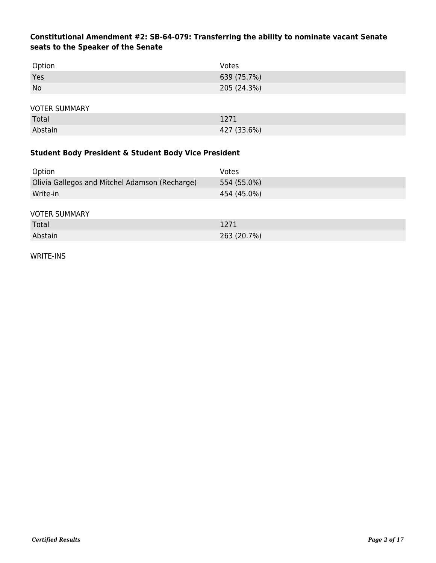## **Constitutional Amendment #2: SB-64-079: Transferring the ability to nominate vacant Senate seats to the Speaker of the Senate**

| Option               | Votes       |
|----------------------|-------------|
| Yes                  | 639 (75.7%) |
| <b>No</b>            | 205 (24.3%) |
|                      |             |
| <b>VOTER SUMMARY</b> |             |
| Total                | 1271        |
| Abstain              | 427 (33.6%) |

## **Student Body President & Student Body Vice President**

| Option                                         | Votes       |
|------------------------------------------------|-------------|
| Olivia Gallegos and Mitchel Adamson (Recharge) | 554 (55.0%) |
| Write-in                                       | 454 (45.0%) |
|                                                |             |
| <b>VOTER SUMMARY</b>                           |             |

| Total   | 1271        |
|---------|-------------|
| Abstain | 263 (20.7%) |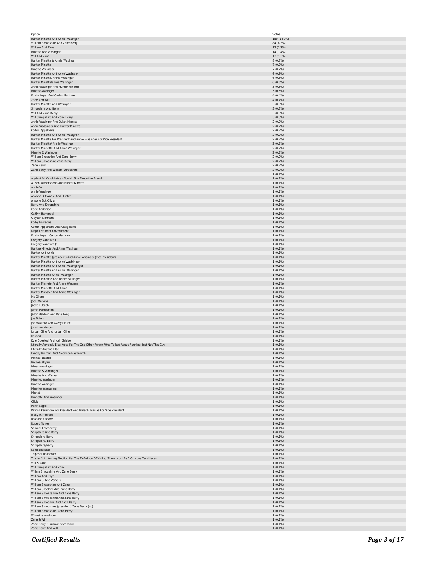| Hunter Minette And Annie Wasinger                                                                 | Votes                    |
|---------------------------------------------------------------------------------------------------|--------------------------|
|                                                                                                   | 150 (14.9%)              |
| William Shropshire And Zane Berry                                                                 | 84 (8.3%)                |
| William And Zane                                                                                  | 17 (1.7%)                |
| Minette And Wasinger                                                                              | 14 (1.4%)                |
| Will And Zane                                                                                     | 13 (1.3%)                |
| Hunter Minette & Annie Wasinger                                                                   | $8(0.8\%)$               |
| Hunter Minette                                                                                    | 7 (0.7%)                 |
| Minette Wasinger                                                                                  | 7 (0.7%)                 |
| Hunter Minette And Anne Wasinger<br>Hunter Minette, Annie Wasinger                                | 6(0.6%)<br>6(0.6%)       |
| Hunter Minette/annie Wasinger                                                                     | 6(0.6%)                  |
| Annie Wasinger And Hunter Minette                                                                 | $5(0.5\%)$               |
| Minette-wasinger                                                                                  | $5(0.5\%)$               |
| Edwin Lopez And Carlos Martinez                                                                   | 4(0.4%                   |
| Zane And Will                                                                                     | 4(0.4%)                  |
| Hunter Minette And Wasinger                                                                       | 3(0.3%)                  |
| Shropshire And Berry                                                                              | 3(0.3%)                  |
| Will And Zane Berry                                                                               | 3(0.3%)                  |
| Will Shropshire And Zane Berry                                                                    | 3(0.3%)                  |
| Annie Wasinger And Dylan Minette                                                                  | 2(0.2%)                  |
| Annie Wassinger And Hunter Minette                                                                | 2(0.2%)                  |
| Colton Appelhans                                                                                  | 2(0.2%)                  |
| Hunter Minette And Annie Wasigner                                                                 | 2(0.2%)                  |
| Hunter Minette For President And Annie Wasinger For Vice President                                | 2(0.2%)                  |
| Hunter Minette/ Annie Wasinger                                                                    | 2(0.2%)                  |
| Hunter Minnette And Annie Wasinger<br>Minette & Wasinger                                          | 2(0.2%)<br>2(0.2%)       |
| William Shopshire And Zane Berry                                                                  | 2(0.2%)                  |
| William Shropshire Zane Berry                                                                     | 2(0.2%)                  |
| Zane Berry                                                                                        | 2(0.2%)                  |
| Zane Berry And William Shropshire                                                                 | 2(0.2%)                  |
| $\mathbf{1}$                                                                                      | $1(0.1\%)$               |
| Against All Candidates - Abolish Sga Executive Branch                                             | $1(0.1\%)$               |
| Allison Witherspoon And Hunter Minette                                                            | $1(0.1\%)$               |
| Annie W.                                                                                          | $1(0.1\%)$               |
| Annie Wasinger                                                                                    | 1(0.1%)                  |
| Anyone But Annie And Hunter                                                                       | $1(0.1\%)$               |
| Anyone But Olivia                                                                                 | 1(0.1%)                  |
| Berry And Shropshire                                                                              | 1(0.1%)                  |
| Cade Anderson                                                                                     | 1(0.1%)                  |
| Caitlyn Hammack                                                                                   | $1(0.1\%)$               |
| Clayton Simmons<br>Colby Barradas                                                                 | $1(0.1\%)$<br>$1(0.1\%)$ |
| Colton Appelhans And Craig Belto                                                                  | $1(0.1\%)$               |
| Dispell Student Government                                                                        | $1(0.1\%)$               |
| Edwin Lopez, Carlos Martinez                                                                      | $1(0.1\%)$               |
| Gregory Vandyke lii                                                                               | 1(0.1%)                  |
| Gregory Vandyke Jr.                                                                               | 1(0.1%)                  |
| Huntee Minette And Anna Wasinger                                                                  | 1(0.1%)                  |
| Hunter And Annie                                                                                  | 1(0.1%)                  |
| Hunter Minette (president) And Annie Wasinger (vice President)                                    | $1(0.1\%)$               |
| Hunter Minette And Anne Washinger                                                                 | $1(0.1\%)$               |
| Hunter Minette And Annie Wasingerger                                                              | $1(0.1\%)$               |
| Hunter Minette And Annie Wasinget                                                                 | $1(0.1\%)$               |
| Hunter Minette Annie Wasinger                                                                     | $1(0.1\%)$               |
| Hunter Minettte And Annie Wasinger                                                                | $1(0.1\%)$               |
| Hunter Minnete And Annie Wasinger                                                                 | $1(0.1\%)$               |
| Hunter Minnette And Annie                                                                         | 1(0.1%)                  |
| Hunter Munster And Annie Wasinger                                                                 | 1(0.1%)                  |
| Iris Okere                                                                                        | 1(0.1%)                  |
| Jace Watkins                                                                                      | $1(0.1\%)$               |
|                                                                                                   |                          |
| Jacob Tubach                                                                                      | $1(0.1\%)$               |
| Jarret Pemberton                                                                                  | $1(0.1\%)$               |
| Jason Baldwin And Kyle Long                                                                       | 1(0.1%)                  |
| Joe Biden                                                                                         | $1(0.1\%)$               |
| Joe Mazzara And Avery Pierce                                                                      | 1(0.1%)                  |
| Jonathan Mercer                                                                                   | 1(0.1%)                  |
| Jordan Cline And Jordan Cline                                                                     | 1(0.1%)                  |
| Kaushik                                                                                           | 1(0.1%)                  |
| Kyle Quested And Josh Griebel                                                                     | 1(0.1%)                  |
| Literally Anybody Else, Vote For The One Other Person Who Talked About Running, Just Not This Guy | $1(0.1\%)$               |
| Literally Anyone Else                                                                             | $1(0.1\%)$<br>1(0.1%)    |
| Lyndsy Hinman And Kaidynce Haysworth<br>Michael Bearth                                            | $1(0.1\%)$               |
| Micheal Bryan                                                                                     | $1(0.1\%)$               |
| Miners-wasinger                                                                                   | $1(0.1\%)$               |
| Minette & Winsinger                                                                               | $1(0.1\%)$               |
| Minette And Wisner                                                                                | 1(0.1%)                  |
| Minette, Wasinger                                                                                 | 1(0.1%)                  |
| Minette.wasinger                                                                                  | 1(0.1%)                  |
| Minette/ Wassenger                                                                                | $1(0.1\%)$               |
| Minnet                                                                                            | $1(0.1\%)$               |
| Minnette And Wasinger                                                                             | $1(0.1\%)$               |
| Olivia                                                                                            | $1(0.1\%)$               |
| Parth Sejpal                                                                                      | $1(0.1\%)$               |
| Payton Paramore For President And Malachi Macias For Vice President                               | $1(0.1\%)$               |
| Ricky R. Redford                                                                                  | 1(0.1%)                  |
| Rosalind Canare<br>Rupert Nunez                                                                   | 1(0.1%)<br>1(0.1%)       |
| Samuel Thornberry                                                                                 | 1(0.1%)                  |
| Shopshire And Berry                                                                               | $1(0.1\%)$               |
| Shropshire Berry                                                                                  | $1(0.1\%)$               |
| Shropshire, Berry                                                                                 | $1(0.1\%)$               |
| Shropshire/berry                                                                                  | $1(0.1\%)$               |
| Someone Else                                                                                      | $1(0.1\%)$               |
| Talpasai Nallamothu                                                                               | $1(0.1\%)$               |
| This Isn't An Voting Election Per The Definition Of Voting. There Must Be 2 Or More Candidates.   | 1(0.1%)                  |
| Will & Zane                                                                                       | 1(0.1%)                  |
| Will Shropshire And Zane                                                                          | 1(0.1%)                  |
| Willam Shropshire And Zane Berry                                                                  | 1(0.1%)                  |
| William And Zayn                                                                                  | $1(0.1\%)$               |
| William S. And Zane B.                                                                            | $1(0.1\%)$               |
| William Shaprshire And Zane                                                                       | $1(0.1\%)$               |
| William Shophire And Zane Berry                                                                   | $1(0.1\%)$               |
| William Shroapshire And Zane Berry                                                                | $1(0.1\%)$               |
| William Shropeshire And Zane Berry                                                                | $1(0.1\%)$               |
| William Shrophire And Zach Berry                                                                  | 1(0.1%)                  |
| William Shropshire (president) Zane Berry (vp)<br>William Shropshire, Zane Berry                  | 1(0.1%)<br>1(0.1%)       |
| Winnette.wasinger                                                                                 | 1(0.1%)                  |
| Zane & Will                                                                                       | $1(0.1\%)$               |
| Zane Berry & William Shropshire<br>Zane Berry And Will                                            | $1(0.1\%)$<br>$1(0.1\%)$ |

*Certified Results Page 3 of 17*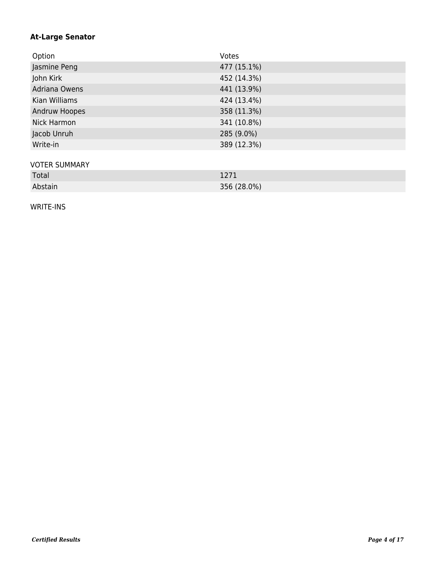## **At-Large Senator**

| Option               | Votes       |
|----------------------|-------------|
| Jasmine Peng         | 477 (15.1%) |
| John Kirk            | 452 (14.3%) |
| Adriana Owens        | 441 (13.9%) |
| Kian Williams        | 424 (13.4%) |
| Andruw Hoopes        | 358 (11.3%) |
| Nick Harmon          | 341 (10.8%) |
| Jacob Unruh          | 285 (9.0%)  |
| Write-in             | 389 (12.3%) |
|                      |             |
| <b>VOTER SUMMARY</b> |             |
| Total                | 1271        |
| Abstain              | 356 (28.0%) |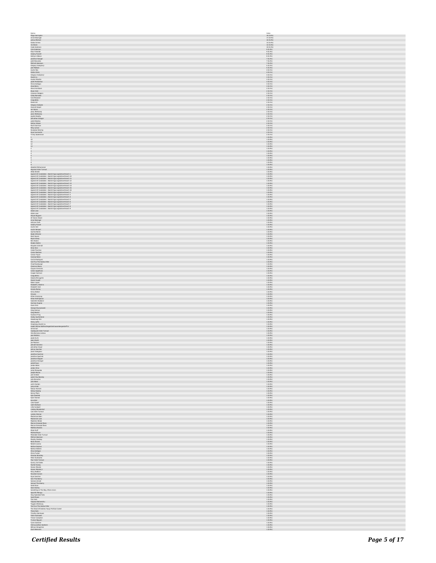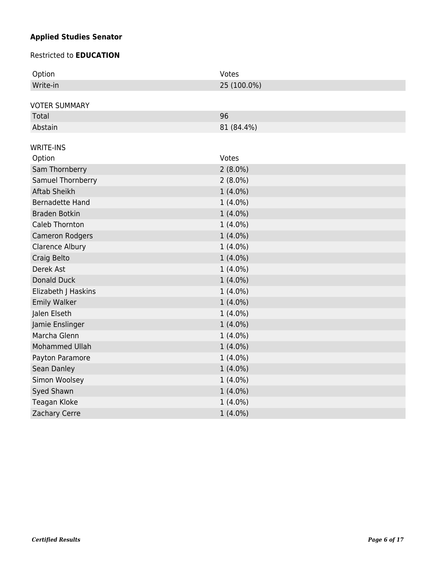# **Applied Studies Senator**

#### Restricted to **EDUCATION**

| Option                 | Votes       |
|------------------------|-------------|
| Write-in               | 25 (100.0%) |
|                        |             |
| <b>VOTER SUMMARY</b>   |             |
| Total                  | 96          |
| Abstain                | 81 (84.4%)  |
|                        |             |
| <b>WRITE-INS</b>       | Votes       |
| Option                 |             |
| Sam Thornberry         | $2(8.0\%)$  |
| Samuel Thornberry      | $2(8.0\%)$  |
| <b>Aftab Sheikh</b>    | $1(4.0\%)$  |
| <b>Bernadette Hand</b> | $1(4.0\%)$  |
| <b>Braden Botkin</b>   | $1(4.0\%)$  |
| Caleb Thornton         | $1(4.0\%)$  |
| Cameron Rodgers        | $1(4.0\%)$  |
| <b>Clarence Albury</b> | $1(4.0\%)$  |
| Craig Belto            | $1(4.0\%)$  |
| Derek Ast              | $1(4.0\%)$  |
| Donald Duck            | $1(4.0\%)$  |
| Elizabeth J Haskins    | $1(4.0\%)$  |
| <b>Emily Walker</b>    | $1(4.0\%)$  |
| Jalen Elseth           | $1(4.0\%)$  |
| Jamie Enslinger        | $1(4.0\%)$  |
| Marcha Glenn           | $1(4.0\%)$  |
| Mohammed Ullah         | $1(4.0\%)$  |
| Payton Paramore        | $1(4.0\%)$  |
| Sean Danley            | $1(4.0\%)$  |
| Simon Woolsey          | $1(4.0\%)$  |
| Syed Shawn             | $1(4.0\%)$  |
| Teagan Kloke           | $1(4.0\%)$  |
| Zachary Cerre          | $1(4.0\%)$  |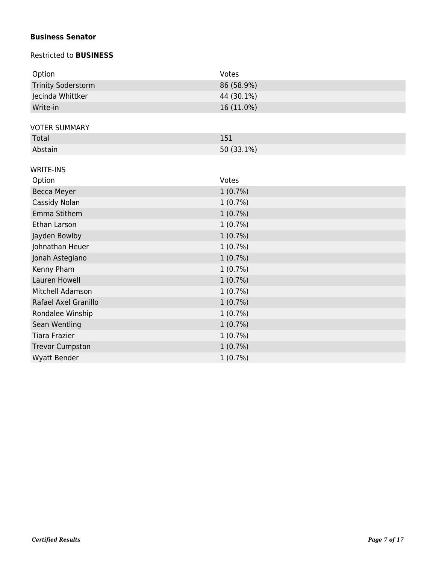## **Business Senator**

#### Restricted to **BUSINESS**

| Option                    | Votes      |
|---------------------------|------------|
| <b>Trinity Soderstorm</b> | 86 (58.9%) |
| Jecinda Whittker          | 44 (30.1%) |
| Write-in                  | 16 (11.0%) |
|                           |            |
| <b>VOTER SUMMARY</b>      |            |
| Total                     | 151        |
| Abstain                   | 50 (33.1%) |
| <b>WRITE-INS</b>          |            |
| Option                    | Votes      |
| Becca Meyer               | $1(0.7\%)$ |
| Cassidy Nolan             | $1(0.7\%)$ |
| Emma Stithem              |            |
|                           | 1(0.7%)    |
| Ethan Larson              | 1(0.7%)    |
| Jayden Bowlby             | $1(0.7\%)$ |
| Johnathan Heuer           | $1(0.7\%)$ |
| Jonah Astegiano           | $1(0.7\%)$ |
| Kenny Pham                | 1(0.7%)    |
| Lauren Howell             | 1(0.7%)    |
| Mitchell Adamson          | 1(0.7%)    |
| Rafael Axel Granillo      | $1(0.7\%)$ |
| Rondalee Winship          | $1(0.7\%)$ |
| Sean Wentling             | 1(0.7%)    |
| <b>Tiara Frazier</b>      | $1(0.7\%)$ |
| <b>Trevor Cumpston</b>    | 1(0.7%)    |
| <b>Wyatt Bender</b>       | 1(0.7%)    |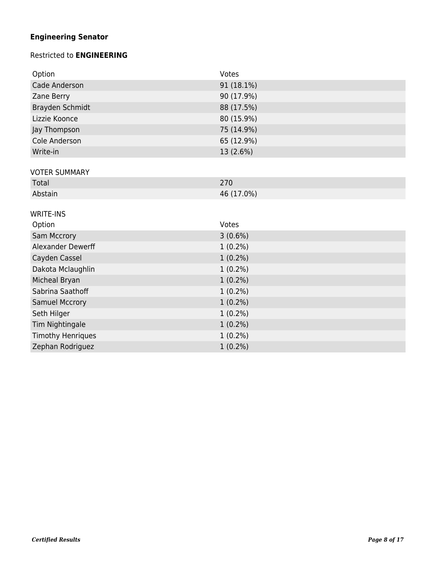# **Engineering Senator**

## Restricted to **ENGINEERING**

| Option                | Votes      |
|-----------------------|------------|
| Cade Anderson         | 91 (18.1%) |
| Zane Berry            | 90 (17.9%) |
| Brayden Schmidt       | 88 (17.5%) |
| Lizzie Koonce         | 80 (15.9%) |
| Jay Thompson          | 75 (14.9%) |
| Cole Anderson         | 65 (12.9%) |
| Write-in              | 13 (2.6%)  |
|                       |            |
| <b>VOTER SUMMARY</b>  | 270        |
| Total                 |            |
| Abstain               | 46 (17.0%) |
| <b>WRITE-INS</b>      |            |
|                       |            |
| Option                | Votes      |
| Sam Mccrory           | $3(0.6\%)$ |
| Alexander Dewerff     | $1(0.2\%)$ |
| Cayden Cassel         | $1(0.2\%)$ |
| Dakota Mclaughlin     | $1(0.2\%)$ |
| Micheal Bryan         | $1(0.2\%)$ |
| Sabrina Saathoff      | $1(0.2\%)$ |
| <b>Samuel Mccrory</b> | $1(0.2\%)$ |
| Seth Hilger           | $1(0.2\%)$ |
| Tim Nightingale       | $1(0.2\%)$ |
| Timothy Henriques     | $1(0.2\%)$ |
| Zephan Rodriguez      | $1(0.2\%)$ |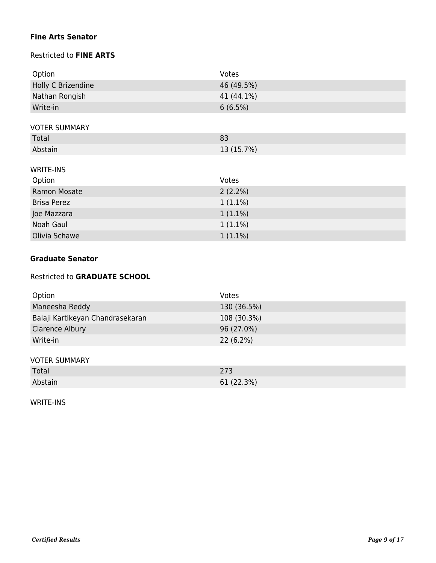## **Fine Arts Senator**

## Restricted to **FINE ARTS**

| Option               | Votes      |
|----------------------|------------|
| Holly C Brizendine   | 46 (49.5%) |
| Nathan Rongish       | 41 (44.1%) |
| Write-in             | 6(6.5%)    |
|                      |            |
| <b>VOTER SUMMARY</b> |            |
| Total                | 83         |

## WRITE-INS

| Option             | Votes      |
|--------------------|------------|
| Ramon Mosate       | $2(2.2\%)$ |
| <b>Brisa Perez</b> | $1(1.1\%)$ |
| Joe Mazzara        | $1(1.1\%)$ |
| Noah Gaul          | $1(1.1\%)$ |
| Olivia Schawe      | $1(1.1\%)$ |

## **Graduate Senator**

#### Restricted to **GRADUATE SCHOOL**

Abstain 13 (15.7%)

| Option                           | Votes       |
|----------------------------------|-------------|
| Maneesha Reddy                   | 130 (36.5%) |
| Balaji Kartikeyan Chandrasekaran | 108 (30.3%) |
| <b>Clarence Albury</b>           | 96 (27.0%)  |
| Write-in                         | $22(6.2\%)$ |
|                                  |             |
| <b>VOTER SUMMARY</b>             |             |
| Total                            | 273         |
| Abstain                          | 61 (22.3%)  |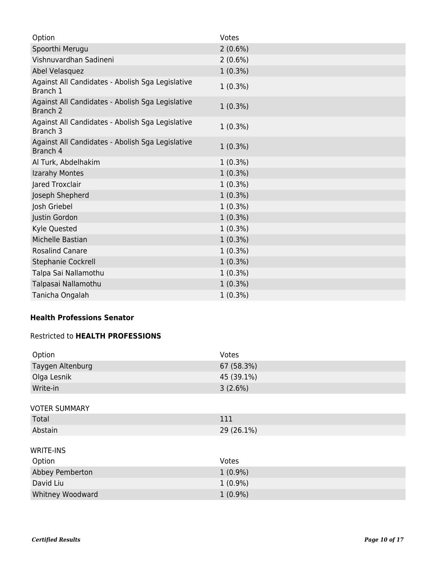| Option                                                                  | Votes      |
|-------------------------------------------------------------------------|------------|
| Spoorthi Merugu                                                         | $2(0.6\%)$ |
| Vishnuvardhan Sadineni                                                  | $2(0.6\%)$ |
| Abel Velasquez                                                          | $1(0.3\%)$ |
| Against All Candidates - Abolish Sga Legislative<br>Branch 1            | $1(0.3\%)$ |
| Against All Candidates - Abolish Sga Legislative<br>Branch <sub>2</sub> | $1(0.3\%)$ |
| Against All Candidates - Abolish Sga Legislative<br>Branch 3            | $1(0.3\%)$ |
| Against All Candidates - Abolish Sga Legislative<br>Branch 4            | $1(0.3\%)$ |
| Al Turk, Abdelhakim                                                     | $1(0.3\%)$ |
| Izarahy Montes                                                          | $1(0.3\%)$ |
| Jared Troxclair                                                         | $1(0.3\%)$ |
| Joseph Shepherd                                                         | $1(0.3\%)$ |
| Josh Griebel                                                            | $1(0.3\%)$ |
| Justin Gordon                                                           | $1(0.3\%)$ |
| Kyle Quested                                                            | $1(0.3\%)$ |
| Michelle Bastian                                                        | $1(0.3\%)$ |
| <b>Rosalind Canare</b>                                                  | $1(0.3\%)$ |
| Stephanie Cockrell                                                      | $1(0.3\%)$ |
| Talpa Sai Nallamothu                                                    | $1(0.3\%)$ |
| Talpasai Nallamothu                                                     | $1(0.3\%)$ |
| Tanicha Ongalah                                                         | $1(0.3\%)$ |

## **Health Professions Senator**

## Restricted to **HEALTH PROFESSIONS**

| Option               | Votes      |
|----------------------|------------|
| Taygen Altenburg     | 67 (58.3%) |
| Olga Lesnik          | 45 (39.1%) |
| Write-in             | 3(2.6%)    |
|                      |            |
| <b>VOTER SUMMARY</b> |            |
| Total                | 111        |
| Abstain              | 29 (26.1%) |
|                      |            |
| <b>WRITE-INS</b>     |            |
| Option               | Votes      |
| Abbey Pemberton      | $1(0.9\%)$ |
| David Liu            | $1(0.9\%)$ |
| Whitney Woodward     | $1(0.9\%)$ |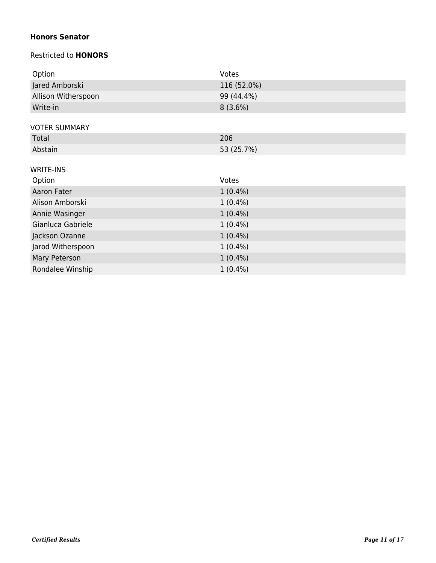## **Honors Senator**

## Restricted to **HONORS**

| Option               | Votes       |
|----------------------|-------------|
| Jared Amborski       | 116 (52.0%) |
| Allison Witherspoon  | 99 (44.4%)  |
| Write-in             | 8(3.6%)     |
|                      |             |
| <b>VOTER SUMMARY</b> |             |
| Total                | 206         |
| Abstain              | 53 (25.7%)  |
|                      |             |
| <b>WRITE-INS</b>     |             |
|                      |             |
| Option               | Votes       |
| Aaron Fater          | $1(0.4\%)$  |
| Alison Amborski      | $1(0.4\%)$  |
| Annie Wasinger       | $1(0.4\%)$  |
| Gianluca Gabriele    | $1(0.4\%)$  |
| Jackson Ozanne       | $1(0.4\%)$  |
| Jarod Witherspoon    | $1(0.4\%)$  |
| Mary Peterson        | $1(0.4\%)$  |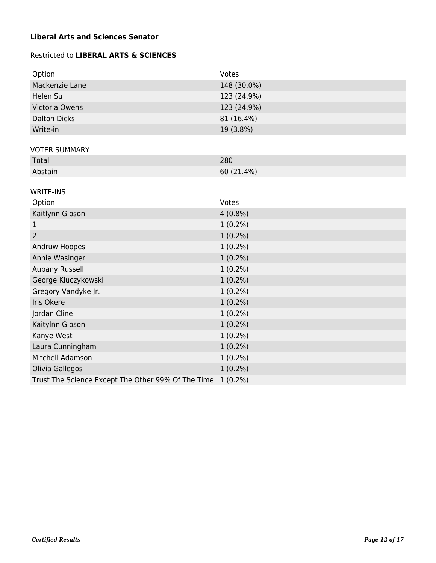## **Liberal Arts and Sciences Senator**

## Restricted to **LIBERAL ARTS & SCIENCES**

| Option                                             | Votes       |
|----------------------------------------------------|-------------|
| Mackenzie Lane                                     | 148 (30.0%) |
| Helen Su                                           | 123 (24.9%) |
| Victoria Owens                                     | 123 (24.9%) |
| <b>Dalton Dicks</b>                                | 81 (16.4%)  |
| Write-in                                           | 19 (3.8%)   |
|                                                    |             |
| <b>VOTER SUMMARY</b><br>Total                      | 280         |
| Abstain                                            |             |
|                                                    | 60 (21.4%)  |
| <b>WRITE-INS</b>                                   |             |
| Option                                             | Votes       |
| Kaitlynn Gibson                                    | $4(0.8\%)$  |
| 1                                                  | $1(0.2\%)$  |
| $\overline{2}$                                     | $1(0.2\%)$  |
| Andruw Hoopes                                      | $1(0.2\%)$  |
| Annie Wasinger                                     | $1(0.2\%)$  |
| Aubany Russell                                     | $1(0.2\%)$  |
| George Kluczykowski                                | $1(0.2\%)$  |
| Gregory Vandyke Jr.                                | $1(0.2\%)$  |
| Iris Okere                                         | $1(0.2\%)$  |
| Jordan Cline                                       | $1(0.2\%)$  |
| Kaitylnn Gibson                                    | $1(0.2\%)$  |
| Kanye West                                         | $1(0.2\%)$  |
| Laura Cunningham                                   | $1(0.2\%)$  |
| Mitchell Adamson                                   | $1(0.2\%)$  |
| Olivia Gallegos                                    | $1(0.2\%)$  |
| Trust The Science Except The Other 99% Of The Time | $1(0.2\%)$  |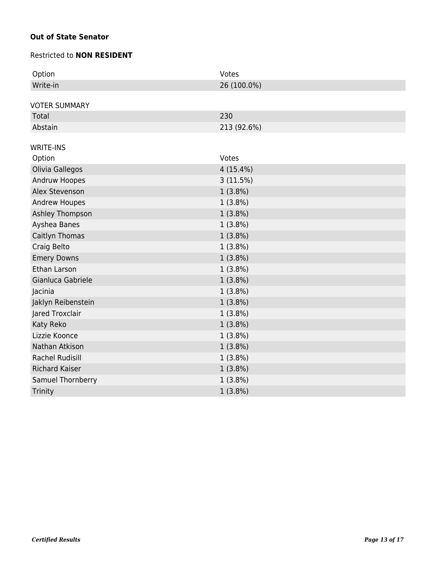## **Out of State Senator**

#### Restricted to **NON RESIDENT**

| Option                 | Votes       |
|------------------------|-------------|
| Write-in               | 26 (100.0%) |
|                        |             |
| <b>VOTER SUMMARY</b>   |             |
| Total                  | 230         |
| Abstain                | 213 (92.6%) |
| <b>WRITE-INS</b>       |             |
| Option                 | Votes       |
| Olivia Gallegos        | $4(15.4\%)$ |
| Andruw Hoopes          | 3(11.5%)    |
| Alex Stevenson         |             |
|                        | 1(3.8%)     |
| <b>Andrew Houpes</b>   | $1(3.8\%)$  |
| Ashley Thompson        | $1(3.8\%)$  |
| Ayshea Banes           | $1(3.8\%)$  |
| Caitlyn Thomas         | $1(3.8\%)$  |
| Craig Belto            | $1(3.8\%)$  |
| <b>Emery Downs</b>     | $1(3.8\%)$  |
| Ethan Larson           | $1(3.8\%)$  |
| Gianluca Gabriele      | $1(3.8\%)$  |
| Jacinia                | $1(3.8\%)$  |
| Jaklyn Reibenstein     | $1(3.8\%)$  |
| Jared Troxclair        | $1(3.8\%)$  |
| Katy Reko              | $1(3.8\%)$  |
| Lizzie Koonce          | $1(3.8\%)$  |
| Nathan Atkison         | $1(3.8\%)$  |
| <b>Rachel Rudisill</b> | $1(3.8\%)$  |
| <b>Richard Kaiser</b>  | $1(3.8\%)$  |
| Samuel Thornberry      | $1(3.8\%)$  |
| Trinity                | 1(3.8%)     |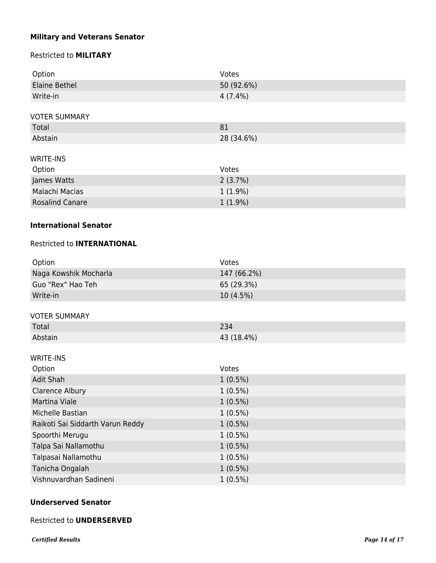## **Military and Veterans Senator**

## Restricted to **MILITARY**

| Option                 | Votes      |
|------------------------|------------|
| Elaine Bethel          | 50 (92.6%) |
| Write-in               | $4(7.4\%)$ |
|                        |            |
| <b>VOTER SUMMARY</b>   |            |
| Total                  | 81         |
| Abstain                | 28 (34.6%) |
|                        |            |
| <b>WRITE-INS</b>       |            |
| Option                 | Votes      |
| James Watts            | 2(3.7%)    |
| Malachi Macias         | $1(1.9\%)$ |
| <b>Rosalind Canare</b> | $1(1.9\%)$ |

### **International Senator**

## Restricted to **INTERNATIONAL**

| Votes       |
|-------------|
| 147 (66.2%) |
| 65 (29.3%)  |
| $10(4.5\%)$ |
|             |

#### VOTER SUMMARY

| .       |            |
|---------|------------|
| Total   |            |
| Abstain | 43 (18.4%) |

## WRITE-INS

| Option                           | Votes      |
|----------------------------------|------------|
| Adit Shah                        | $1(0.5\%)$ |
| Clarence Albury                  | $1(0.5\%)$ |
| Martina Viale                    | $1(0.5\%)$ |
| Michelle Bastian                 | $1(0.5\%)$ |
| Raikoti Sai Siddarth Varun Reddy | $1(0.5\%)$ |
| Spoorthi Merugu                  | $1(0.5\%)$ |
| Talpa Sai Nallamothu             | $1(0.5\%)$ |
| Talpasai Nallamothu              | $1(0.5\%)$ |
| Tanicha Ongalah                  | $1(0.5\%)$ |
| Vishnuvardhan Sadineni           | $1(0.5\%)$ |

### **Underserved Senator**

#### Restricted to **UNDERSERVED**

*Certified Results Page 14 of 17*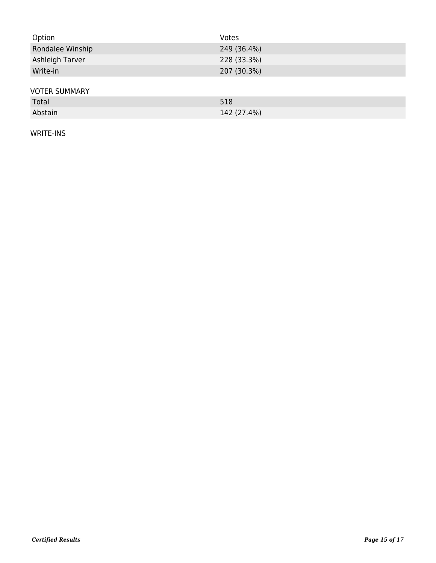| Option               | Votes       |
|----------------------|-------------|
| Rondalee Winship     | 249 (36.4%) |
| Ashleigh Tarver      | 228 (33.3%) |
| Write-in             | 207 (30.3%) |
|                      |             |
| <b>VOTER SUMMARY</b> |             |
| Total                | 518         |

Abstain 142 (27.4%)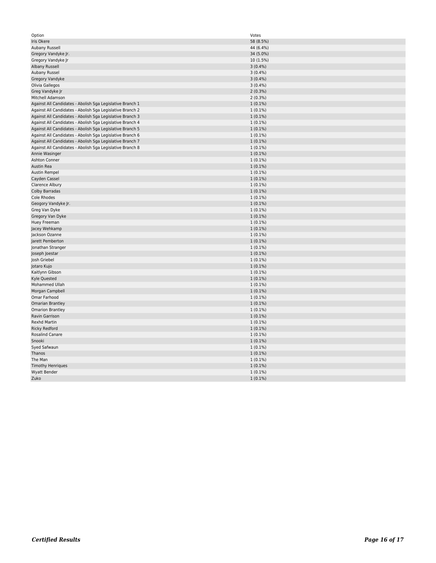| Option                                                    | Votes      |
|-----------------------------------------------------------|------------|
| Iris Okere                                                | 58 (8.5%)  |
| Aubany Russell                                            | 44 (6.4%)  |
| Gregory Vandyke Jr.                                       | 34 (5.0%)  |
| Gregory Vandyke Jr                                        | 10 (1.5%)  |
| Albany Russell                                            | $3(0.4\%)$ |
| Aubany Russel                                             | $3(0.4\%)$ |
| Gregory Vandyke                                           | 3(0.4%)    |
| Olivia Gallegos                                           | $3(0.4\%)$ |
| Greg Vandyke Jr                                           | $2(0.3\%)$ |
| Mitchell Adamson                                          | $2(0.3\%)$ |
| Against All Candidates - Abolish Sga Legislative Branch 1 | $1(0.1\%)$ |
| Against All Candidates - Abolish Sga Legislative Branch 2 | $1(0.1\%)$ |
| Against All Candidates - Abolish Sga Legislative Branch 3 | $1(0.1\%)$ |
| Against All Candidates - Abolish Sga Legislative Branch 4 | $1(0.1\%)$ |
| Against All Candidates - Abolish Sga Legislative Branch 5 | $1(0.1\%)$ |
| Against All Candidates - Abolish Sga Legislative Branch 6 | $1(0.1\%)$ |
| Against All Candidates - Abolish Sga Legislative Branch 7 | $1(0.1\%)$ |
| Against All Candidates - Abolish Sga Legislative Branch 8 | $1(0.1\%)$ |
| Annie Wasinger                                            | $1(0.1\%)$ |
| Ashton Conner                                             | $1(0.1\%)$ |
| Austin Rea                                                | $1(0.1\%)$ |
| Austin Rempel                                             | $1(0.1\%)$ |
| Cayden Cassel                                             | $1(0.1\%)$ |
| Clarence Albury                                           | $1(0.1\%)$ |
| <b>Colby Barradas</b>                                     | $1(0.1\%)$ |
| Cole Rhodes                                               | $1(0.1\%)$ |
| Geogory Vandyke Jr.                                       | $1(0.1\%)$ |
| Greg Van Dyke                                             | $1(0.1\%)$ |
| Gregory Van Dyke                                          | $1(0.1\%)$ |
| Huey Freeman                                              | $1(0.1\%)$ |
| Jacey Wehkamp                                             | $1(0.1\%)$ |
| Jackson Ozanne                                            | $1(0.1\%)$ |
| Jarett Pemberton                                          | $1(0.1\%)$ |
| Jonathan Stranger                                         | $1(0.1\%)$ |
| Joseph Joestar                                            | $1(0.1\%)$ |
| Josh Griebel                                              | $1(0.1\%)$ |
| Jotaro Kujo                                               | $1(0.1\%)$ |
| Kaitlynn Gibson                                           | $1(0.1\%)$ |
| Kyle Quested                                              | $1(0.1\%)$ |
| Mohammed Ullah                                            | $1(0.1\%)$ |
| Morgan Campbell                                           | $1(0.1\%)$ |
| Omar Farhood                                              | $1(0.1\%)$ |
| <b>Omarian Brantley</b>                                   | $1(0.1\%)$ |
| <b>Omarion Brantley</b>                                   | $1(0.1\%)$ |
| Ravin Garrison                                            | $1(0.1\%)$ |
| <b>Rexhd Martin</b>                                       | $1(0.1\%)$ |
| <b>Ricky Redford</b>                                      | $1(0.1\%)$ |
| <b>Rosalind Canare</b>                                    | $1(0.1\%)$ |
| Snooki                                                    | $1(0.1\%)$ |
| Syed Safwaun                                              | $1(0.1\%)$ |
| Thanos                                                    | $1(0.1\%)$ |
| The Man                                                   | $1(0.1\%)$ |
| <b>Timothy Henriques</b>                                  | $1(0.1\%)$ |
| Wyatt Bender                                              | $1(0.1\%)$ |
| Zuko                                                      | $1(0.1\%)$ |
|                                                           |            |